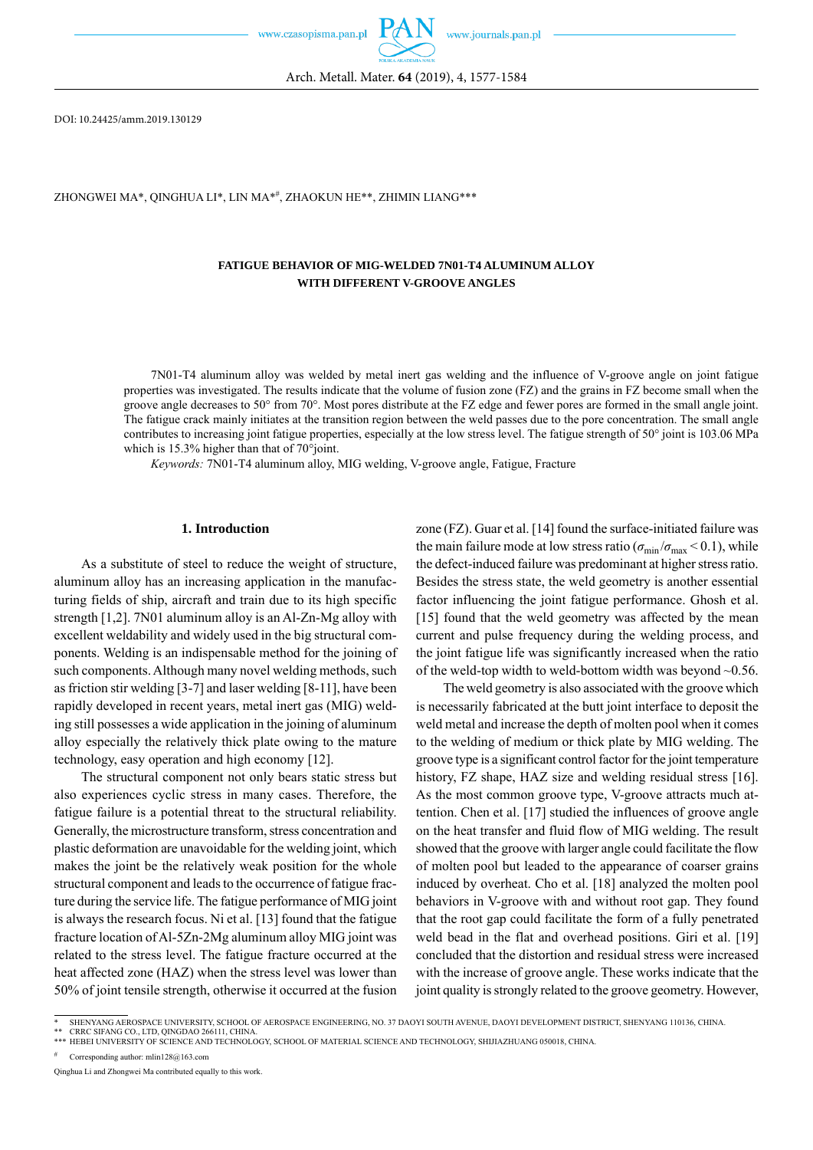DOI: 10.24425/amm.2019.130129

ZHONGWEI MA\*, QINGHUA LI\*, LIN MA\*#, ZHAOKUN HE\*\*, ZHIMIN LIANG\*\*\*

# **FATIGUE BEHAVIOR OF MIG-WELDED 7N01-T4 ALUMINUM ALLOY WITH DIFFERENT V-GROOVE ANGLES**

7N01-T4 aluminum alloy was welded by metal inert gas welding and the influence of V-groove angle on joint fatigue properties was investigated. The results indicate that the volume of fusion zone (FZ) and the grains in FZ become small when the groove angle decreases to 50° from 70°. Most pores distribute at the FZ edge and fewer pores are formed in the small angle joint. The fatigue crack mainly initiates at the transition region between the weld passes due to the pore concentration. The small angle contributes to increasing joint fatigue properties, especially at the low stress level. The fatigue strength of 50° joint is 103.06 MPa which is 15.3% higher than that of 70°joint.

*Keywords:* 7N01 - T4 aluminum alloy, MIG welding, V-groove angle, Fatigue, Fracture

# **1. Introduction**

As a substitute of steel to reduce the weight of structure, aluminum alloy has an increasing application in the manufacturing fields of ship, aircraft and train due to its high specific strength [1,2]. 7N01 aluminum alloy is an Al-Zn-Mg alloy with excellent weldability and widely used in the big structural components. Welding is an indispensable method for the joining of such components. Although many novel welding methods, such as friction stir welding [3-7] and laser welding [8-11], have been rapidly developed in recent years, metal inert gas (MIG) welding still possesses a wide application in the joining of aluminum alloy especially the relatively thick plate owing to the mature technology, easy operation and high economy [12].

The structural component not only bears static stress but also experiences cyclic stress in many cases. Therefore, the fatigue failure is a potential threat to the structural reliability. Generally, the microstructure transform, stress concentration and plastic deformation are unavoidable for the welding joint, which makes the joint be the relatively weak position for the whole structural component and leads to the occurrence of fatigue fracture during the service life. The fatigue performance of MIG joint is always the research focus. Ni et al. [13] found that the fatigue fracture location of Al-5Zn-2Mg aluminum alloy MIG joint was related to the stress level. The fatigue fracture occurred at the heat affected zone (HAZ) when the stress level was lower than 50% of joint tensile strength, otherwise it occurred at the fusion zone (FZ). Guar et al. [14] found the surface-initiated failure was the main failure mode at low stress ratio ( $\sigma_{min}/\sigma_{max}$  < 0.1), while the defect-induced failure was predominant at higher stress ratio. Besides the stress state, the weld geometry is another essential factor influencing the joint fatigue performance. Ghosh et al. [15] found that the weld geometry was affected by the mean current and pulse frequency during the welding process, and the joint fatigue life was significantly increased when the ratio of the weld-top width to weld-bottom width was beyond ~0.56.

The weld geometry is also associated with the groove which is necessarily fabricated at the butt joint interface to deposit the weld metal and increase the depth of molten pool when it comes to the welding of medium or thick plate by MIG welding. The groove type is a significant control factor for the joint temperature history, FZ shape, HAZ size and welding residual stress [16]. As the most common groove type, V-groove attracts much attention. Chen et al. [17] studied the influences of groove angle on the heat transfer and fluid flow of MIG welding. The result showed that the groove with larger angle could facilitate the flow of molten pool but leaded to the appearance of coarser grains induced by overheat. Cho et al. [18] analyzed the molten pool behaviors in V-groove with and without root gap. They found that the root gap could facilitate the form of a fully penetrated weld bead in the flat and overhead positions. Giri et al. [19] concluded that the distortion and residual stress were increased with the increase of groove angle. These works indicate that the joint quality is strongly related to the groove geometry. However,

<sup>\*</sup> SHENYANG AEROSPACE UNIVERSITY, SCHOOL OF AEROSPACE ENGINEERING, NO. 37 DAOYI SOUTH AVENUE, DAOYI DEVELOPMENT DISTRICT, SHENYANG 110136, CHINA.

CRRC SIFANG CO., LTD, OINGDAO 266111, CHINA \*\*\* HEBEI UNIVERSITY OF SCIENCE AND TECHNOLOGY, SCHOOL OF MATERIAL SCIENCE AND TECHNOLOGY, SHIJIAZHUANG 050018, CHINA.

Corresponding author: mlin128@163.com

Qinghua Li and Zhongwei Ma contributed equally to this work.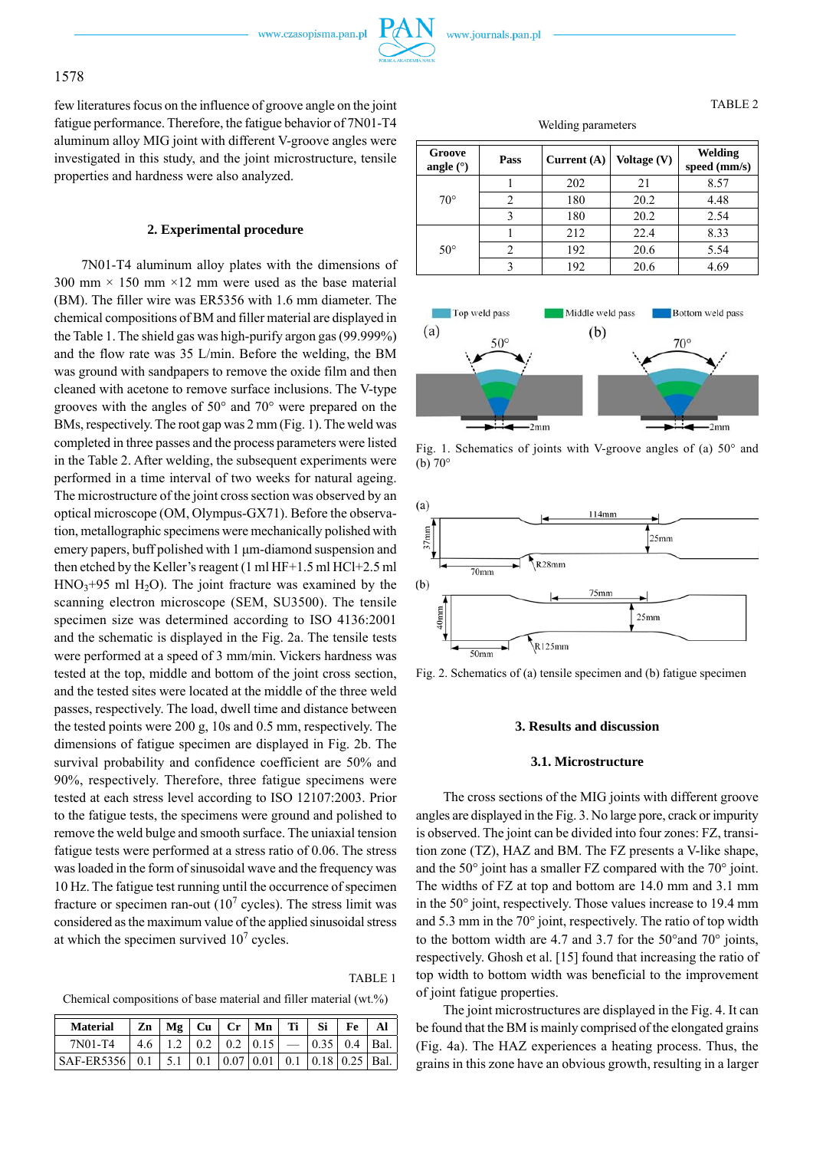

# 1578

few literatures focus on the influence of groove angle on the joint fatigue performance. Therefore, the fatigue behavior of 7N01-T4 aluminum alloy MIG joint with different V-groove angles were investigated in this study, and the joint microstructure, tensile properties and hardness were also analyzed.

# **2. Experimental procedure**

7N01-T4 aluminum alloy plates with the dimensions of 300 mm  $\times$  150 mm  $\times$ 12 mm were used as the base material (BM). The filler wire was ER5356 with 1.6 mm diameter. The chemical compositions of BM and filler material are displayed in the Table 1. The shield gas was high-purify argon gas (99.999%) and the flow rate was 35 L/min. Before the welding, the BM was ground with sandpapers to remove the oxide film and then cleaned with acetone to remove surface inclusions. The V-type grooves with the angles of 50° and 70° were prepared on the BMs, respectively. The root gap was 2 mm (Fig. 1). The weld was completed in three passes and the process parameters were listed in the Table 2. After welding, the subsequent experiments were performed in a time interval of two weeks for natural ageing. The microstructure of the joint cross section was observed by an optical microscope (OM, Olympus-GX71). Before the observation, metallographic specimens were mechanically polished with emery papers, buff polished with 1 μm-diamond suspension and then etched by the Keller's reagent (1 ml HF+1.5 ml HCl+2.5 ml  $HNO<sub>3</sub>+95$  ml  $H<sub>2</sub>O$ ). The joint fracture was examined by the scanning electron microscope (SEM, SU3500). The tensile specimen size was determined according to ISO 4136:2001 and the schematic is displayed in the Fig. 2a. The tensile tests were performed at a speed of 3 mm/min. Vickers hardness was tested at the top, middle and bottom of the joint cross section, and the tested sites were located at the middle of the three weld passes, respectively. The load, dwell time and distance between the tested points were 200 g, 10s and 0.5 mm, respectively. The dimensions of fatigue specimen are displayed in Fig. 2b. The survival probability and confidence coefficient are 50% and 90%, respectively. Therefore, three fatigue specimens were tested at each stress level according to ISO 12107:2003. Prior to the fatigue tests, the specimens were ground and polished to remove the weld bulge and smooth surface. The uniaxial tension fatigue tests were performed at a stress ratio of 0.06. The stress was loaded in the form of sinusoidal wave and the frequency was 10 Hz. The fatigue test running until the occurrence of specimen fracture or specimen ran-out  $(10^7 \text{ cycles})$ . The stress limit was considered as the maximum value of the applied sinusoidal stress at which the specimen survived  $10<sup>7</sup>$  cycles.

TABLE 1 Chemical compositions of base material and filler material (wt.%)

| <b>Material</b>                                                               |  |  | $\vert$ Zn $\vert$ Mg $\vert$ Cu $\vert$ Cr $\vert$ Mn $\vert$ Ti $\vert$ | Si | Fe |  |
|-------------------------------------------------------------------------------|--|--|---------------------------------------------------------------------------|----|----|--|
| 7N01-T4                                                                       |  |  | $4.6$   1.2   0.2   0.2   0.15   -   0.35   0.4   Bal.                    |    |    |  |
| $\vert$ SAF-ER5356   0.1   5.1   0.1   0.07   0.01   0.1   0.18   0.25   Bal. |  |  |                                                                           |    |    |  |

# TABLE 2



| Groove<br>angle $(°)$ | Pass | Current $(A)$ | Voltage $(V)$ | Welding<br>speed (mm/s) |  |
|-----------------------|------|---------------|---------------|-------------------------|--|
| $70^{\circ}$          |      | 202           | 21            | 8.57                    |  |
|                       |      | 180           | 20.2          | 4.48                    |  |
|                       |      | 180           | 20.2          | 2.54                    |  |
| $50^{\circ}$          |      | 212           | 22.4          | 8.33                    |  |
|                       |      | 192           | 20.6          | 5.54                    |  |
|                       |      | 192           | 20.6          | 4.69                    |  |



Fig. 1. Schematics of joints with V-groove angles of (a) 50° and (b)  $70^\circ$ 



Fig. 2. Schematics of (a) tensile specimen and (b) fatigue specimen

## **3. Results and discussion**

#### **3.1. Microstructure**

The cross sections of the MIG joints with different groove angles are displayed in the Fig. 3. No large pore, crack or impurity is observed. The joint can be divided into four zones: FZ, transition zone (TZ), HAZ and BM. The FZ presents a V-like shape, and the 50° joint has a smaller FZ compared with the 70° joint. The widths of FZ at top and bottom are 14.0 mm and 3.1 mm in the 50° joint, respectively. Those values increase to 19.4 mm and 5.3 mm in the 70° joint, respectively. The ratio of top width to the bottom width are 4.7 and 3.7 for the 50°and 70° joints, respectively. Ghosh et al. [15] found that increasing the ratio of top width to bottom width was beneficial to the improvement of joint fatigue properties.

The joint microstructures are displayed in the Fig. 4. It can be found that the BM is mainly comprised of the elongated grains (Fig. 4a). The HAZ experiences a heating process. Thus, the grains in this zone have an obvious growth, resulting in a larger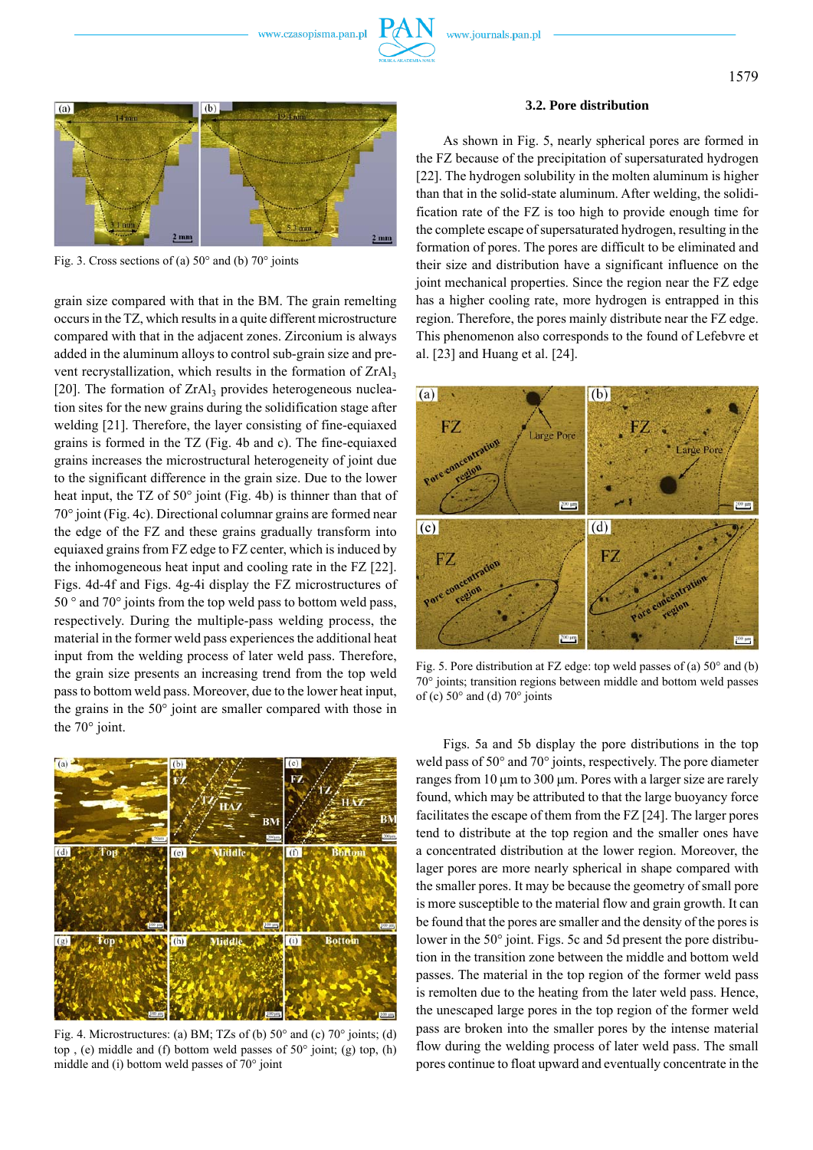



Fig. 3. Cross sections of (a)  $50^{\circ}$  and (b)  $70^{\circ}$  joints

grain size compared with that in the BM. The grain remelting occurs in the TZ, which results in a quite different microstructure compared with that in the adjacent zones. Zirconium is always added in the aluminum alloys to control sub-grain size and prevent recrystallization, which results in the formation of ZrAl<sub>3</sub> [20]. The formation of  $ZrAl<sub>3</sub>$  provides heterogeneous nucleation sites for the new grains during the solidification stage after welding [21]. Therefore, the layer consisting of fine-equiaxed grains is formed in the TZ (Fig. 4b and c). The fine-equiaxed grains increases the microstructural heterogeneity of joint due to the significant difference in the grain size. Due to the lower heat input, the TZ of 50° joint (Fig. 4b) is thinner than that of 70° joint (Fig. 4c). Directional columnar grains are formed near the edge of the FZ and these grains gradually transform into equiaxed grains from FZ edge to FZ center, which is induced by the inhomogeneous heat input and cooling rate in the FZ [22]. Figs. 4d-4f and Figs. 4g-4i display the FZ microstructures of 50 ° and 70° joints from the top weld pass to bottom weld pass, respectively. During the multiple-pass welding process, the material in the former weld pass experiences the additional heat input from the welding process of later weld pass. Therefore, the grain size presents an increasing trend from the top weld pass to bottom weld pass. Moreover, due to the lower heat input, the grains in the 50° joint are smaller compared with those in the 70° joint.



Fig. 4. Microstructures: (a) BM; TZs of (b)  $50^{\circ}$  and (c)  $70^{\circ}$  joints; (d) top , (e) middle and (f) bottom weld passes of 50° joint; (g) top, (h) middle and (i) bottom weld passes of 70° joint

#### **3.2. Pore distribution**

As shown in Fig. 5, nearly spherical pores are formed in the FZ because of the precipitation of supersaturated hydrogen [22]. The hydrogen solubility in the molten aluminum is higher than that in the solid-state aluminum. After welding, the solidification rate of the FZ is too high to provide enough time for the complete escape of supersaturated hydrogen, resulting in the formation of pores. The pores are difficult to be eliminated and their size and distribution have a significant influence on the joint mechanical properties. Since the region near the FZ edge has a higher cooling rate, more hydrogen is entrapped in this region. Therefore, the pores mainly distribute near the FZ edge. This phenomenon also corresponds to the found of Lefebvre et al. [23] and Huang et al. [24].



Fig. 5. Pore distribution at FZ edge: top weld passes of (a) 50° and (b) 70° joints; transition regions between middle and bottom weld passes of (c)  $50^\circ$  and (d)  $70^\circ$  joints

Figs. 5a and 5b display the pore distributions in the top weld pass of 50° and 70° joints, respectively. The pore diameter ranges from 10 μm to 300 μm. Pores with a larger size are rarely found, which may be attributed to that the large buoyancy force facilitates the escape of them from the FZ [24]. The larger pores tend to distribute at the top region and the smaller ones have a concentrated distribution at the lower region. Moreover, the lager pores are more nearly spherical in shape compared with the smaller pores. It may be because the geometry of small pore is more susceptible to the material flow and grain growth. It can be found that the pores are smaller and the density of the pores is lower in the 50° joint. Figs. 5c and 5d present the pore distribution in the transition zone between the middle and bottom weld passes. The material in the top region of the former weld pass is remolten due to the heating from the later weld pass. Hence, the unescaped large pores in the top region of the former weld pass are broken into the smaller pores by the intense material flow during the welding process of later weld pass. The small pores continue to float upward and eventually concentrate in the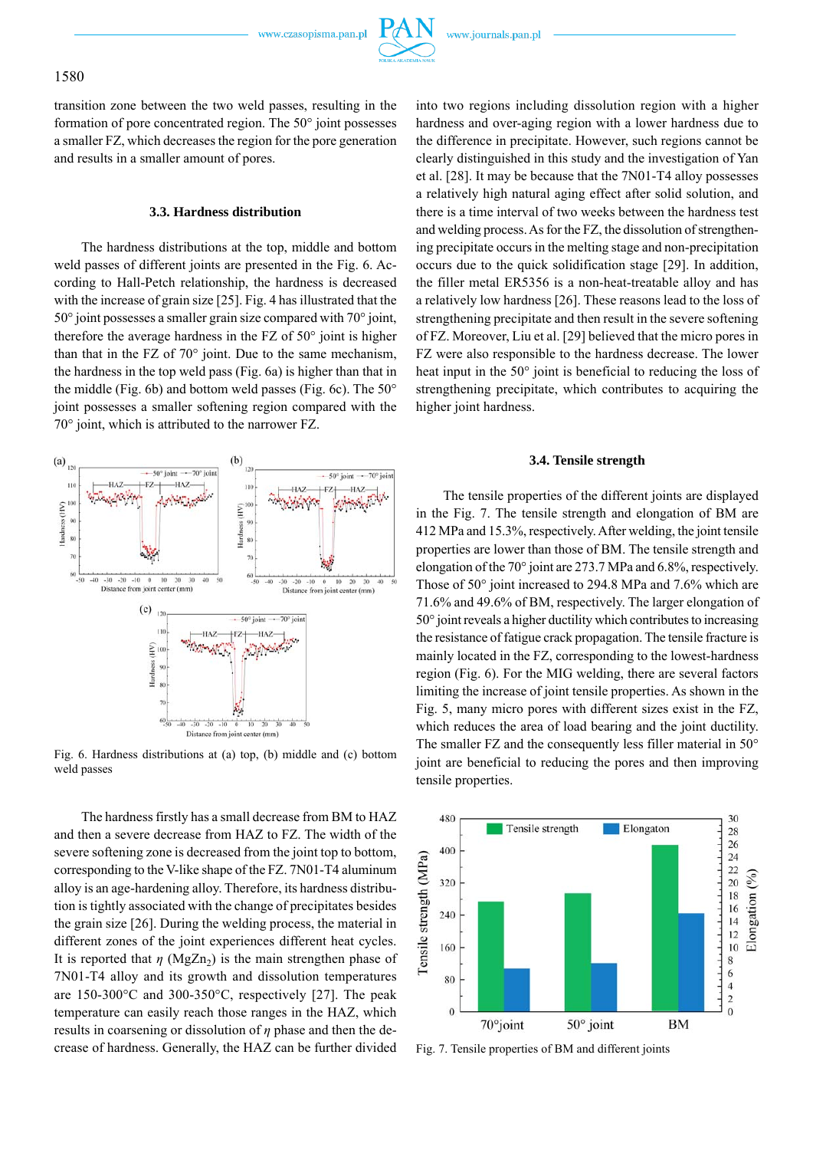### 1580

transition zone between the two weld passes, resulting in the formation of pore concentrated region. The 50° joint possesses a smaller FZ, which decreases the region for the pore generation and results in a smaller amount of pores.

## **3.3. Hardness distribution**

The hardness distributions at the top, middle and bottom weld passes of different joints are presented in the Fig. 6. According to Hall-Petch relationship, the hardness is decreased with the increase of grain size [25]. Fig. 4 has illustrated that the 50° joint possesses a smaller grain size compared with 70° joint, therefore the average hardness in the FZ of 50° joint is higher than that in the FZ of 70° joint. Due to the same mechanism, the hardness in the top weld pass (Fig. 6a) is higher than that in the middle (Fig. 6b) and bottom weld passes (Fig. 6c). The 50° joint possesses a smaller softening region compared with the  $70^{\circ}$  joint, which is attributed to the narrower FZ.



Fig. 6. Hardness distributions at (a) top, (b) middle and (c) bottom weld passes

The hardness firstly has a small decrease from BM to HAZ and then a severe decrease from HAZ to FZ. The width of the severe softening zone is decreased from the joint top to bottom, corresponding to the V-like shape of the FZ. 7N01-T4 aluminum alloy is an age-hardening alloy. Therefore, its hardness distribution is tightly associated with the change of precipitates besides the grain size [26]. During the welding process, the material in different zones of the joint experiences different heat cycles. It is reported that  $\eta$  (MgZn<sub>2</sub>) is the main strengthen phase of 7N01-T4 alloy and its growth and dissolution temperatures are 150-300°C and 300-350°C, respectively [27]. The peak temperature can easily reach those ranges in the HAZ, which results in coarsening or dissolution of *η* phase and then the decrease of hardness. Generally, the HAZ can be further divided into two regions including dissolution region with a higher hardness and over-aging region with a lower hardness due to the difference in precipitate. However, such regions cannot be clearly distinguished in this study and the investigation of Yan et al. [28]. It may be because that the 7N01-T4 alloy possesses a relatively high natural aging effect after solid solution, and there is a time interval of two weeks between the hardness test and welding process. As for the FZ, the dissolution of strengthening precipitate occurs in the melting stage and non-precipitation occurs due to the quick solidification stage [29]. In addition, the filler metal ER5356 is a non-heat-treatable alloy and has a relatively low hardness [26]. These reasons lead to the loss of strengthening precipitate and then result in the severe softening of FZ. Moreover, Liu et al. [29] believed that the micro pores in FZ were also responsible to the hardness decrease. The lower heat input in the 50° joint is beneficial to reducing the loss of strengthening precipitate, which contributes to acquiring the higher joint hardness.

#### **3.4. Tensile strength**

The tensile properties of the different joints are displayed in the Fig. 7. The tensile strength and elongation of BM are 412 MPa and 15.3%, respectively. After welding, the joint tensile properties are lower than those of BM. The tensile strength and elongation of the 70° joint are 273.7 MPa and 6.8%, respectively. Those of 50° joint increased to 294.8 MPa and 7.6% which are 71.6% and 49.6% of BM, respectively. The larger elongation of 50° joint reveals a higher ductility which contributes to increasing the resistance of fatigue crack propagation. The tensile fracture is mainly located in the FZ, corresponding to the lowest-hardness region (Fig. 6). For the MIG welding, there are several factors limiting the increase of joint tensile properties. As shown in the Fig. 5, many micro pores with different sizes exist in the FZ, which reduces the area of load bearing and the joint ductility. The smaller FZ and the consequently less filler material in 50° joint are beneficial to reducing the pores and then improving tensile properties.



Fig. 7. Tensile properties of BM and different joints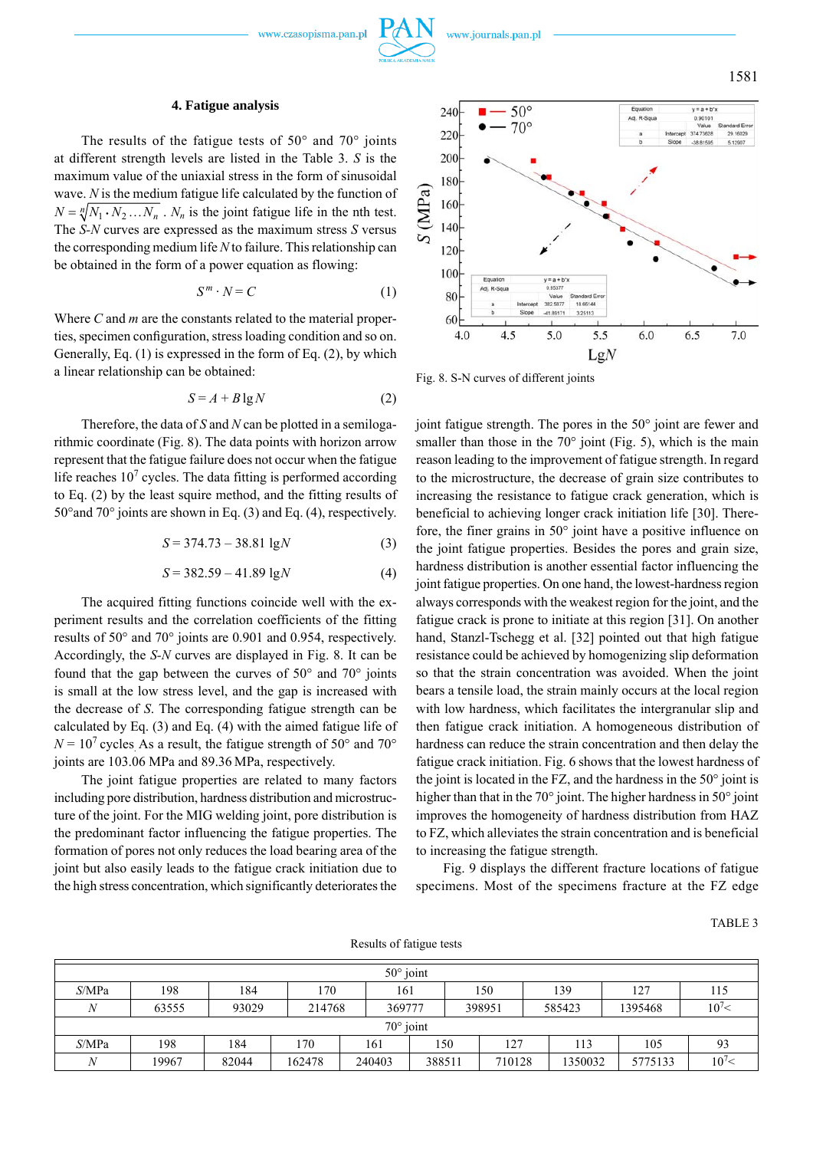The results of the fatigue tests of  $50^\circ$  and  $70^\circ$  joints at different strength levels are listed in the Table 3. *S* is the maximum value of the uniaxial stress in the form of sinusoidal wave. *N* is the medium fatigue life calculated by the function of  $N = \sqrt[n]{N_1 \cdot N_2 \dots N_n}$ .  $N_n$  is the joint fatigue life in the nth test. The *S-N* curves are expressed as the maximum stress *S* versus the corresponding medium life *N* to failure. This relationship can be obtained in the form of a power equation as flowing:

$$
S^m \cdot N = C \tag{1}
$$

Where *C* and *m* are the constants related to the material properties, specimen configuration, stress loading condition and so on. Generally, Eq. (1) is expressed in the form of Eq. (2), by which a linear relationship can be obtained:

$$
S = A + B \lg N \tag{2}
$$

Therefore, the data of *S* and *N* can be plotted in a semilogarithmic coordinate (Fig. 8). The data points with horizon arrow represent that the fatigue failure does not occur when the fatigue life reaches  $10<sup>7</sup>$  cycles. The data fitting is performed according to Eq. (2) by the least squire method, and the fitting results of 50°and 70° joints are shown in Eq. (3) and Eq. (4), respectively.

$$
S = 374.73 - 38.81 \text{ lg}N \tag{3}
$$

$$
S = 382.59 - 41.89 \text{ lg}N \tag{4}
$$

The acquired fitting functions coincide well with the experiment results and the correlation coefficients of the fitting results of 50° and 70° joints are 0.901 and 0.954, respectively. Accordingly, the *S-N* curves are displayed in Fig. 8. It can be found that the gap between the curves of  $50^{\circ}$  and  $70^{\circ}$  joints is small at the low stress level, and the gap is increased with the decrease of *S*. The corresponding fatigue strength can be calculated by Eq. (3) and Eq. (4) with the aimed fatigue life of  $N = 10<sup>7</sup>$  cycles. As a result, the fatigue strength of 50° and 70° joints are 103.06 MPa and 89.36 MPa, respectively.

The joint fatigue properties are related to many factors including pore distribution, hardness distribution and microstructure of the joint. For the MIG welding joint, pore distribution is the predominant factor influencing the fatigue properties. The formation of pores not only reduces the load bearing area of the joint but also easily leads to the fatigue crack initiation due to the high stress concentration, which significantly deteriorates the



Fig. 8. S-N curves of different joints

joint fatigue strength. The pores in the 50° joint are fewer and smaller than those in the  $70^{\circ}$  joint (Fig. 5), which is the main reason leading to the improvement of fatigue strength. In regard to the microstructure, the decrease of grain size contributes to increasing the resistance to fatigue crack generation, which is beneficial to achieving longer crack initiation life [30]. Therefore, the finer grains in 50° joint have a positive influence on the joint fatigue properties. Besides the pores and grain size, hardness distribution is another essential factor influencing the joint fatigue properties. On one hand, the lowest-hardness region always corresponds with the weakest region for the joint, and the fatigue crack is prone to initiate at this region [31]. On another hand, Stanzl-Tschegg et al. [32] pointed out that high fatigue resistance could be achieved by homogenizing slip deformation so that the strain concentration was avoided. When the joint bears a tensile load, the strain mainly occurs at the local region with low hardness, which facilitates the intergranular slip and then fatigue crack initiation. A homogeneous distribution of hardness can reduce the strain concentration and then delay the fatigue crack initiation. Fig. 6 shows that the lowest hardness of the joint is located in the FZ, and the hardness in the 50° joint is higher than that in the 70° joint. The higher hardness in 50° joint improves the homogeneity of hardness distribution from HAZ to FZ, which alleviates the strain concentration and is beneficial to increasing the fatigue strength.

Fig. 9 displays the different fracture locations of fatigue specimens. Most of the specimens fracture at the FZ edge

TABLE 3

| Results of fatigue tests |  |
|--------------------------|--|
|--------------------------|--|

| $50^\circ$ joint |       |       |        |        |                  |        |        |         |         |            |
|------------------|-------|-------|--------|--------|------------------|--------|--------|---------|---------|------------|
| S/MPa            | 198   | 184   | 170    | 161    |                  | 150    | 139    |         | 127     | 115        |
| N                | 63555 | 93029 | 214768 |        | 398951<br>369777 |        | 585423 |         | 1395468 | $10^7<$    |
| $70^\circ$ joint |       |       |        |        |                  |        |        |         |         |            |
| S/MPa            | 198   | 184   | 170    | 161    | 150              | 127    |        | 113     | 105     | 93         |
| N                | 19967 | 82044 | 162478 | 240403 | 388511           | 710128 |        | 1350032 | 5775133 | $10^{7} <$ |

www.journals.pan.pl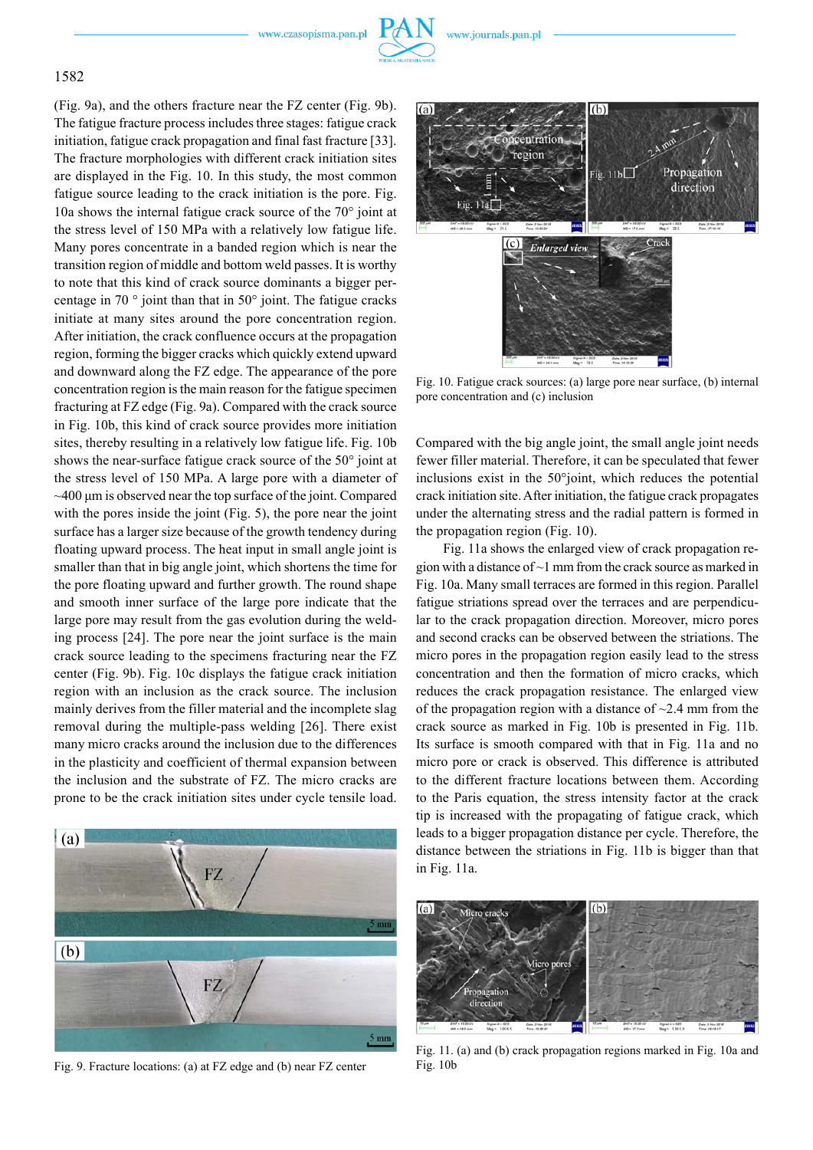

1582

(Fig. 9a), and the others fracture near the FZ center (Fig. 9b). The fatigue fracture process includes three stages: fatigue crack initiation, fatigue crack propagation and final fast fracture [33]. The fracture morphologies with different crack initiation sites are displayed in the Fig. 10. In this study, the most common fatigue source leading to the crack initiation is the pore. Fig. 10a shows the internal fatigue crack source of the 70° joint at the stress level of 150 MPa with a relatively low fatigue life. Many pores concentrate in a banded region which is near the transition region of middle and bottom weld passes. It is worthy to note that this kind of crack source dominants a bigger percentage in 70 ° joint than that in 50° joint. The fatigue cracks initiate at many sites around the pore concentration region. After initiation, the crack confluence occurs at the propagation region, forming the bigger cracks which quickly extend upward and downward along the FZ edge. The appearance of the pore concentration region is the main reason for the fatigue specimen fracturing at FZ edge (Fig. 9a). Compared with the crack source in Fig. 10b, this kind of crack source provides more initiation sites, thereby resulting in a relatively low fatigue life. Fig. 10b shows the near-surface fatigue crack source of the 50° joint at the stress level of 150 MPa. A large pore with a diameter of  $\sim$ 400  $\mu$ m is observed near the top surface of the joint. Compared with the pores inside the joint (Fig. 5), the pore near the joint surface has a larger size because of the growth tendency during floating upward process. The heat input in small angle joint is smaller than that in big angle joint, which shortens the time for the pore floating upward and further growth. The round shape and smooth inner surface of the large pore indicate that the large pore may result from the gas evolution during the welding process [24]. The pore near the joint surface is the main crack source leading to the specimens fracturing near the FZ center (Fig. 9b). Fig. 10c displays the fatigue crack initiation region with an inclusion as the crack source. The inclusion mainly derives from the filler material and the incomplete slag removal during the multiple-pass welding [26]. There exist many micro cracks around the inclusion due to the differences in the plasticity and coefficient of thermal expansion between the inclusion and the substrate of FZ. The micro cracks are prone to be the crack initiation sites under cycle tensile load.



Fig. 9. Fracture locations: (a) at FZ edge and (b) near FZ center Fig. 10b



Fig. 10. Fatigue crack sources: (a) large pore near surface, (b) internal pore concentration and (c) inclusion

Compared with the big angle joint, the small angle joint needs fewer filler material. Therefore, it can be speculated that fewer inclusions exist in the 50°joint, which reduces the potential crack initiation site. After initiation, the fatigue crack propagates under the alternating stress and the radial pattern is formed in the propagation region (Fig. 10).

Fig. 11a shows the enlarged view of crack propagation region with a distance of  $\sim$ 1 mm from the crack source as marked in Fig. 10a. Many small terraces are formed in this region. Parallel fatigue striations spread over the terraces and are perpendicular to the crack propagation direction. Moreover, micro pores and second cracks can be observed between the striations. The micro pores in the propagation region easily lead to the stress concentration and then the formation of micro cracks, which reduces the crack propagation resistance. The enlarged view of the propagation region with a distance of  $\sim$ 2.4 mm from the crack source as marked in Fig. 10b is presented in Fig. 11b. Its surface is smooth compared with that in Fig. 11a and no micro pore or crack is observed. This difference is attributed to the different fracture locations between them. According to the Paris equation, the stress intensity factor at the crack tip is increased with the propagating of fatigue crack, which leads to a bigger propagation distance per cycle. Therefore, the distance between the striations in Fig. 11b is bigger than that in Fig. 11a.



Fig. 11. (a) and (b) crack propagation regions marked in Fig. 10a and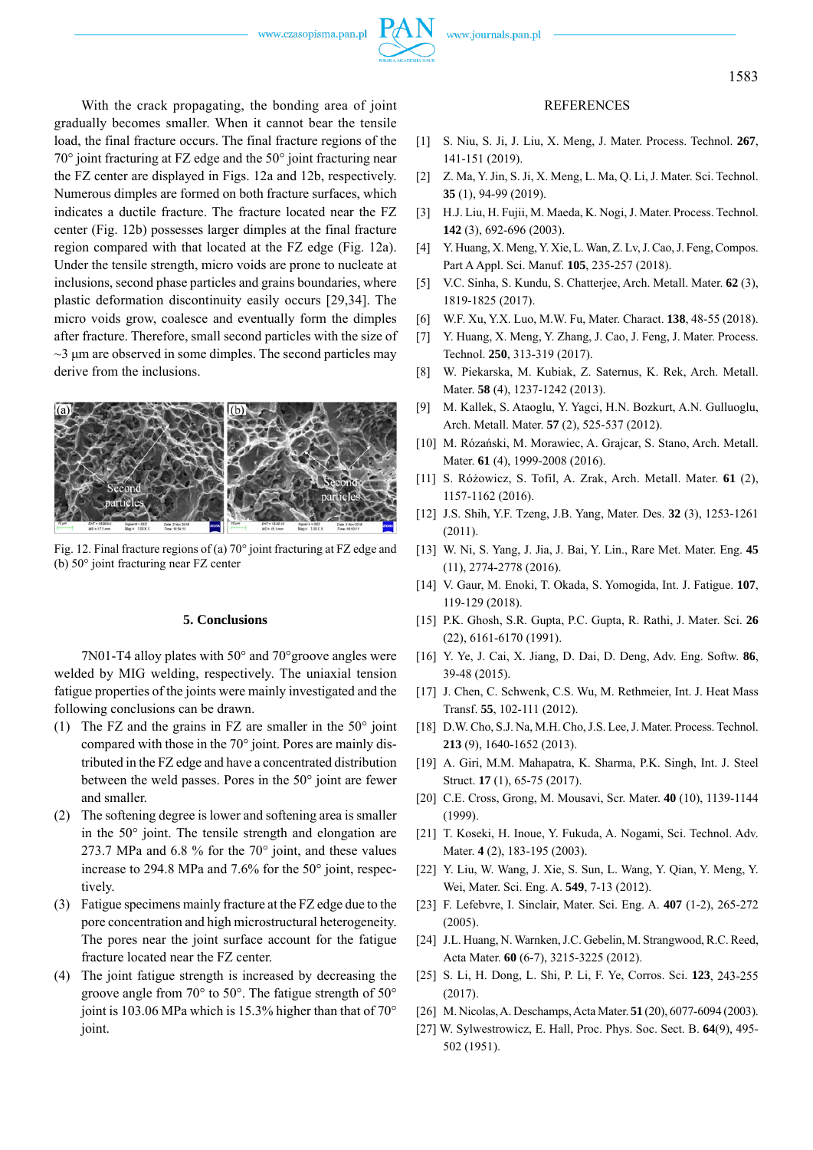

With the crack propagating, the bonding area of joint gradually becomes smaller. When it cannot bear the tensile load, the final fracture occurs. The final fracture regions of the 70° joint fracturing at FZ edge and the 50° joint fracturing near the FZ center are displayed in Figs. 12a and 12b, respectively. Numerous dimples are formed on both fracture surfaces, which indicates a ductile fracture. The fracture located near the FZ center (Fig. 12b) possesses larger dimples at the final fracture region compared with that located at the FZ edge (Fig. 12a). Under the tensile strength, micro voids are prone to nucleate at inclusions, second phase particles and grains boundaries, where plastic deformation discontinuity easily occurs [29,34]. The micro voids grow, coalesce and eventually form the dimples after fracture. Therefore, small second particles with the size of  $\sim$ 3 μm are observed in some dimples. The second particles may derive from the inclusions.



Fig. 12. Final fracture regions of (a) 70° joint fracturing at FZ edge and (b) 50° joint fracturing near FZ center

## **5. Conclusions**

7N01-T4 alloy plates with 50° and 70°groove angles were welded by MIG welding, respectively. The uniaxial tension fatigue properties of the joints were mainly investigated and the following conclusions can be drawn.

- (1) The FZ and the grains in FZ are smaller in the  $50^{\circ}$  joint compared with those in the 70° joint. Pores are mainly distributed in the FZ edge and have a concentrated distribution between the weld passes. Pores in the 50° joint are fewer and smaller.
- (2) The softening degree is lower and softening area is smaller in the 50° joint. The tensile strength and elongation are 273.7 MPa and 6.8 % for the 70° joint, and these values increase to 294.8 MPa and 7.6% for the 50° joint, respectively.
- (3) Fatigue specimens mainly fracture at the FZ edge due to the pore concentration and high microstructural heterogeneity. The pores near the joint surface account for the fatigue fracture located near the FZ center.
- (4) The joint fatigue strength is increased by decreasing the groove angle from 70° to 50°. The fatigue strength of 50° joint is 103.06 MPa which is 15.3% higher than that of 70° joint.

### REFERENCES

- [1] S. Niu, S. Ji, J. Liu, X. Meng, J. Mater. Process. Technol. **267**, 141-151 (2019).
- [2] Z. Ma, Y. Jin, S. Ji, X. Meng, L. Ma, Q. Li, J. Mater. Sci. Technol. **35** (1), 94-99 (2019).
- [3] H.J. Liu, H. Fujii, M. Maeda, K. Nogi, J. Mater. Process. Technol. **142** (3), 692-696 (2003).
- [4] Y. Huang, X. Meng, Y. Xie, L. Wan, Z. Lv, J. Cao, J. Feng, Compos. Part A Appl. Sci. Manuf. **105**, 235-257 (2018).
- [5] V.C. Sinha, S. Kundu, S. Chatterjee, Arch. Metall. Mater. **62** (3), 1819-1825 (2017).
- [6] W.F. Xu, Y.X. Luo, M.W. Fu, Mater. Charact. **138**, 48-55 (2018).
- [7] Y. Huang, X. Meng, Y. Zhang, J. Cao, J. Feng, J. Mater. Process. Technol. **250**, 313-319 (2017).
- [8] W. Piekarska, M. Kubiak, Z. Saternus, K. Rek, Arch. Metall. Mater. **58** (4), 1237-1242 (2013).
- [9] M. Kallek, S. Ataoglu, Y. Yagci, H.N. Bozkurt, A.N. Gulluoglu, Arch. Metall. Mater. **57** (2), 525-537 (2012).
- [10] M. Rózański, M. Morawiec, A. Grajcar, S. Stano, Arch. Metall. Mater. **61** (4), 1999-2008 (2016).
- [11] S. Różowicz, S. Tofil, A. Zrak, Arch. Metall. Mater. **61** (2), 1157-1162 (2016).
- [12] J.S. Shih, Y.F. Tzeng, J.B. Yang, Mater. Des. **32** (3), 1253-1261 (2011).
- [13] W. Ni, S. Yang, J. Jia, J. Bai, Y. Lin., Rare Met. Mater. Eng. **45** (11), 2774-2778 (2016).
- [14] V. Gaur, M. Enoki, T. Okada, S. Yomogida, Int. J. Fatigue. **107**, 119-129 (2018).
- [15] P.K. Ghosh, S.R. Gupta, P.C. Gupta, R. Rathi, J. Mater. Sci. 26 (22), 6161-6170 (1991).
- [16] Y. Ye, J. Cai, X. Jiang, D. Dai, D. Deng, Adv. Eng. Softw. **86**, 39-48 (2015).
- [17] J. Chen, C. Schwenk, C.S. Wu, M. Rethmeier, Int. J. Heat Mass Transf. **55**, 102-111 (2012).
- [18] D.W. Cho, S.J. Na, M.H. Cho, J.S. Lee, J. Mater. Process. Technol. **213** (9), 1640-1652 (2013).
- [19] A. Giri, M.M. Mahapatra, K. Sharma, P.K. Singh, Int. J. Steel Struct. **17** (1), 65-75 (2017).
- [20] C.E. Cross, Grong, M. Mousavi, Scr . Mater. **40** (10), 1139-1144 (1999).
- [21] T. Koseki, H. Inoue, Y. Fukuda, A. Nogami, Sci. Technol. Adv. Mater. **4** (2), 183-195 (2003).
- [22] Y. Liu, W. Wang, J. Xie, S. Sun, L. Wang, Y. Qian, Y. Meng, Y. Wei, Mater. Sci. Eng. A. **549**, 7-13 (2012).
- [23] F. Lefebvre, I. Sinclair, Mater. Sci. Eng. A. **407** (1-2), 265-272 (2005).
- [24] J.L. Huang, N. Warnken, J.C. Gebelin, M. Strangwood, R.C. Reed, Acta Mater. **60** (6-7), 3215-3225 (2012).
- [25] S. Li, H. Dong, L. Shi, P. Li, F. Ye, Corros. Sci. **123**, 243-255 (2017).
- [26] M. Nicolas, A. Deschamps, Acta Mater. **51** (20), 6077-6094 (2003).
- [27] W. Sylwestrowicz, E. Hall, Proc. Phys. Soc. Sect. B. **64**(9), 495- 502 (1951).